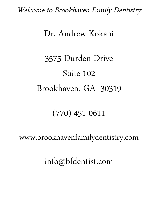Welcome to Brookhaven Family Dentistry

# Dr. Andrew Kokabi

# 3575 Durden Drive Suite 102 Brookhaven, GA 30319

# (770) 451-0611

www.brookhavenfamilydentistry.com

info@bfdentist.com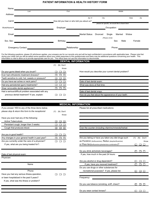#### **PATIENT INFORMATION & HEALTH HISTORY FORM**

| Name:        |                           |                                            |                                                                                                                       |                    |                                                 |        |     |
|--------------|---------------------------|--------------------------------------------|-----------------------------------------------------------------------------------------------------------------------|--------------------|-------------------------------------------------|--------|-----|
|              | Last                      | First                                      |                                                                                                                       |                    | Middle                                          |        |     |
| Address:     |                           |                                            |                                                                                                                       |                    |                                                 |        |     |
|              |                           |                                            | Apt. #                                                                                                                | City:              |                                                 | State  | Zip |
| Cell #:      |                           | How did you hear or who told you about us? |                                                                                                                       |                    |                                                 |        |     |
|              |                           |                                            |                                                                                                                       |                    | please be specific, we would like to thank them |        |     |
| Work/Home #: |                           | Employer:                                  |                                                                                                                       | Occupation:        |                                                 |        |     |
|              |                           |                                            |                                                                                                                       |                    |                                                 |        |     |
| Email:       |                           |                                            | <b>Marital Status:</b>                                                                                                | Divorced<br>Single | Widow<br>Married                                |        |     |
|              |                           |                                            |                                                                                                                       | (Please circle)    |                                                 |        |     |
| Soc. Sec:    |                           | Birthday:                                  | <u> 1989 - Jan Barbara Barbara, prima prima prima prima prima prima prima prima prima prima prima prima prima pri</u> |                    | Sex:<br>Male                                    | Female |     |
|              |                           |                                            |                                                                                                                       |                    |                                                 |        |     |
|              | <b>Emergency Contact:</b> | Relationship:                              |                                                                                                                       |                    | Phone:                                          |        |     |
|              |                           |                                            |                                                                                                                       |                    |                                                 |        |     |

For the following questions, please (X) whichever applies, your answers are for our records only and will be kept confidential in accordance with applicable laws. Please note that during your initial visit you will be asked some questions about your initial responses to this questionnaire and there may be additional questions concerning your health. This information is vital to allow us to provide appropriate care for you. This office does not use this information to discriminate.

#### **DENTAL INFORMATION**

|                                                     | (N) Don't |
|-----------------------------------------------------|-----------|
|                                                     | Know      |
| Do your gums bleed when you brush?                  |           |
| Ever had orthodontic treatment (braces)?            |           |
| Teeth sensitive to cold, hot, sweets or pressure?   |           |
| Do you have ear aches or neck pains?                |           |
| Had any periodontal (gum) treatments?               |           |
| Wear removable dental appliances?                   |           |
| Had a serious/difficult problem associated with any |           |
| previous dental treatment? If yes, explain:         |           |

How would you describe your current dental problem?

Date of last dental exam: What was done at that time:

Date of last dental xrays:

How do you feel about the appearance of your teeth:

|                                                    | <b>MEDICAL INFORMATION</b> |                                                  |  |  |  |
|----------------------------------------------------|----------------------------|--------------------------------------------------|--|--|--|
| If you answer YES to any of the three items below, |                            | Please list all prescribed medications:          |  |  |  |
| please stop & return this form to the receptionist | (N) Don't<br>(Y)           |                                                  |  |  |  |
|                                                    | Know                       |                                                  |  |  |  |
| Have you ever had any of the following:            |                            |                                                  |  |  |  |
| <b>Active Tuberculosis</b>                         |                            |                                                  |  |  |  |
| Persistant cough, longer than 3 weeks:             |                            |                                                  |  |  |  |
| Cough that produces blood:                         |                            | Over the counter (including vitamins/mine        |  |  |  |
| Are you in good health?                            |                            |                                                  |  |  |  |
| Any changes in your general health in past year?   |                            | Are you taking or have you taken any diet        |  |  |  |
| Are you currently under the care of a physician?   |                            | as Pondimin (fenflouramine), Redux (dexphenflu   |  |  |  |
| If yes, what are you being treated for?:           |                            | or Phen-fen(fenfluramine-phentermine combination |  |  |  |
|                                                    |                            | Do you drink alchoholic beverages?               |  |  |  |
| Date of last physical exam:                        |                            | If yes, how much in the past 24 hours:           |  |  |  |
| Physician:                                         |                            |                                                  |  |  |  |
|                                                    |                            | Are you alcohol or drug dependent?               |  |  |  |
| Name                                               |                            | If yes, have you receved treatment?              |  |  |  |
|                                                    |                            | Do you use drugs or other substances for         |  |  |  |
| Phone                                              |                            | recreational purposes? If yes, please            |  |  |  |
| Have you had any serious illness, operation,       |                            |                                                  |  |  |  |
| or been hospitalized in the past 5 years?          |                            | Frequency:                                       |  |  |  |
| If yes, what was the illness or problem?           |                            |                                                  |  |  |  |
|                                                    |                            | Do you use tobacco (smoking, sniff, chew         |  |  |  |
|                                                    |                            |                                                  |  |  |  |
|                                                    |                            |                                                  |  |  |  |

Over the counter (including vitamins/minerals/herbal:

| Are you in good nealth?                          | ᆸ ᆸ ᆸ              |                                                       |                         |
|--------------------------------------------------|--------------------|-------------------------------------------------------|-------------------------|
| Any changes in your general health in past year? |                    | Are you taking or have you taken any diet drugs such  | (Y)<br>Don't<br>(N)     |
| Are you currently under the care of a physician? |                    | as Pondimin (fenflouramine), Redux (dexphenfluramine) | Know                    |
| If yes, what are you being treated for?:         |                    | or Phen-fen(fenfluramine-phentermine combination)?    | $\Box$<br>$\Box$        |
|                                                  |                    | Do you drink alchoholic beverages?                    | and and<br>$\mathsf{L}$ |
| Date of last physical exam:                      |                    | If yes, how much in the past 24 hours:                |                         |
| Physician:                                       |                    |                                                       |                         |
|                                                  |                    | Are you alcohol or drug dependent?                    | $\Box$                  |
| Name                                             |                    | If yes, have you receved treatment?                   | $\Box$                  |
|                                                  |                    | Do you use drugs or other substances for              |                         |
| Phone                                            |                    | recreational purposes? If yes, please list:           | nп<br>H                 |
| Have you had any serious illness, operation,     | $\Box$ $\Box$<br>П |                                                       |                         |
| or been hospitalized in the past 5 years?        |                    | Frequency:                                            |                         |
| If yes, what was the illness or problem?         |                    |                                                       |                         |
|                                                  |                    | Do you use tobacco (smoking, sniff, chew)?            | $\Box$                  |
|                                                  |                    | Do you wear contact lenses?                           | $\Box$                  |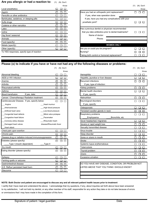#### Are you allergic or had a reaction to: (Y) (N) Don't

|                                             | Know                     |                                                       | (N) Don't<br>(Y) |
|---------------------------------------------|--------------------------|-------------------------------------------------------|------------------|
| Local anesthetics                           |                          |                                                       | Know             |
| Aspirin                                     |                          | Have you had an orthopedic joint replacement?         | $\blacksquare$   |
| Penicillin or other antibiotics             |                          | If yes, when was operation done:                      |                  |
| Barbituates, sedatives, or sleeping pills   |                          | If yes, have you had any complications with your      |                  |
| Sulfa drugs                                 | $\overline{\phantom{a}}$ | prosthetic joint?                                     |                  |
| Codeine or other narcotics                  | <b>11 L</b>              |                                                       |                  |
| Latex                                       | $\Box$ $\Box$            | Has a previous dentist or physician recommended       |                  |
| lodine                                      | - 1 - 1 - 1 - 1          | that you take antibiotics prior to dental treatments? |                  |
| Hay fever/ seasonal                         | $\Box$ $\Box$            | Name of doctor:                                       |                  |
| Animals                                     | $\Box$ $\Box$            | Phone:                                                |                  |
| Food (specify)                              |                          |                                                       |                  |
| Metals (specify)                            |                          | <b>WOMEN ONLY</b>                                     |                  |
| Other (specify)                             |                          | Are you or could you be pregnant?                     |                  |
| To YES responses, specify type of reaction: |                          | Nursing?                                              | $\mathsf{L}$     |

| Know |                                                       | (Y)<br>(N) Don't |
|------|-------------------------------------------------------|------------------|
|      |                                                       | Know             |
|      | Have you had an orthopedic joint replacement?         |                  |
|      | If yes, when was operation done:                      |                  |
|      | If yes, have you had any complications with your      |                  |
|      | prosthetic joint?                                     |                  |
|      |                                                       |                  |
|      | Has a previous dentist or physician recommended       |                  |
|      | that you take antibiotics prior to dental treatments? |                  |
|      | Name of doctor:                                       |                  |
|      | Phone:                                                |                  |
|      |                                                       |                  |
|      | <b>WOMEN ONLY</b>                                     |                  |
|      | Are you or could you be pregnant?                     |                  |
|      | Nursing?                                              |                  |

Taking birth control or homonal replacement?

#### **Please (x) to indicate if you have or have not had any of the following diseases or problems:**

.

|                                                      | (Y)                   |        | (N) Don't |                                       |
|------------------------------------------------------|-----------------------|--------|-----------|---------------------------------------|
|                                                      |                       |        | Know      |                                       |
| Abnormal bleeding                                    |                       |        |           | Hemophilia                            |
| AIDS or HIV infection                                |                       |        |           | Hepatitis, jaundice or liver disease  |
| Anemia                                               |                       |        |           | Recurrent infections                  |
| Arthritis                                            |                       | $\Box$ |           | If yes, type of infection:            |
| Rheumatoid arthritis                                 |                       |        |           | Kidney problems                       |
| Asthma                                               |                       |        |           | Mental health disorders               |
| Blood transfusion.<br>If yes, date:                  |                       | $\Box$ |           | If yes, specify:                      |
| Cancer / Chemotherapy/ Radiation treatment           |                       |        |           | Malnutrition                          |
| Cardiovascular Disease. If yes, specify below:       |                       |        |           | Neurological disorders                |
| Angina                                               | Heart murmur          |        |           | If yes, specify:                      |
| Arteriosclerosis                                     | High blood pressure   |        |           | Osteoporosis                          |
| Artificial heart valve                               | Low blood pressure    |        |           | Persistant swollen glands in neck     |
| Congenital heart defects                             | Mitral valve prolapse |        |           | Respiratory problems                  |
| Congestive heart failure                             | Pacemaker             |        |           | Emphysema<br>Bronchitis, etc          |
| Coronary artery disease<br>Rheumatic heart-          |                       |        |           | Sever headaches/ migraines            |
| Damaged heart valves<br>disease/Rheumatic fever      |                       |        |           | Severe or rapid weight loss           |
| Heart attack                                         |                       |        |           | Sexually transmitted disease          |
| Chest pain upon exertion                             |                       |        |           | Sinus trouble                         |
| Chronic pain                                         |                       |        |           | Sleep disorder                        |
| Disease, drug or radiation-induced immunosuppression |                       |        |           | Sores or ulcers in mouth              |
| Diabetes (please specify)                            |                       |        |           | Stroke                                |
| Type I (insulin dependent)                           | Type II               |        |           | Systemic lupus erythematosus          |
| Dry mouth                                            |                       |        |           | Tuberculosis                          |
| Eating disorder (please specify)                     |                       |        |           | Thyroid problem                       |
|                                                      |                       |        |           | Ulcers                                |
| Epilepsy                                             |                       |        |           | Excessive urination                   |
| Fainting spells or seizures                          |                       |        |           |                                       |
| Gastrointestinal disease                             |                       |        |           | DO YOU HAVE ANY DISEASE, CONDITION, O |
| G.E. Reflux/ persistant heart burn                   |                       |        |           | LISTED ABOVE THAT YOU THINK I SHOULD  |
| Glaucoma                                             |                       |        |           |                                       |
|                                                      |                       |        |           |                                       |

| (Y)<br>(N) Don't |                                      | (N) Don't<br>(Y) |
|------------------|--------------------------------------|------------------|
| Know             |                                      | Know             |
|                  | Hemophilia                           |                  |
|                  | Hepatitis, jaundice or liver disease |                  |
|                  | <b>Recurrent infections</b>          |                  |
|                  | If yes, type of infection:           |                  |
|                  | Kidney problems                      |                  |
|                  | Mental health disorders              |                  |
|                  | If yes, specify:                     |                  |
|                  | Malnutrition                         |                  |
|                  | Neurological disorders               |                  |
|                  | If yes, specify:                     |                  |
| essure           | Osteoporosis                         |                  |
| essure           | Persistant swollen glands in neck    |                  |
| rolapse          | Respiratory problems                 |                  |
|                  | Bronchitis, etc<br>Emphysema         |                  |
| eart-            | Sever headaches/ migraines           |                  |
| itic fever       | Severe or rapid weight loss          |                  |
|                  | Sexually transmitted disease         |                  |
|                  | Sinus trouble                        |                  |
|                  | Sleep disorder                       |                  |
|                  | Sores or ulcers in mouth             |                  |
|                  | Stroke                               |                  |
|                  | Systemic lupus erythematosus         |                  |
|                  | Tuberculosis                         |                  |
|                  | Thyroid problem                      |                  |
|                  | Ulcers                               |                  |
|                  | Excessive urination                  |                  |

DO YOU HAVE ANY DISEASE, CONDITION, OR PROBLEM NOT LISTED ABOVE THAT YOU THINK I SHOULD KNOW?

#### **NOTE: Both Doctor and patient are encouraged to discuss any and all relevant patient health issues prior to treatment**

I certify that I have read and understand the above. I acknowledge that my questions, if any, about inquiries set forth above have been answered to my satisfaction, I will not hold my dentist, or any other member of his staff, responsible for any action they take or do not take because of errors or ommissions that I may have made in the completion of this form.

 $\begin{array}{c} \square \ \square \ \square \end{array}$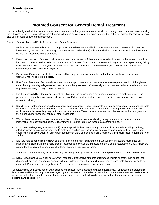## **Informed Consent for General Dental Treatment**

You have the right to be informed about your dental treatment so that you may make a decision to undergo dental treatment after knowing the risks and hazards. This disclosure is not meant to frighten or alarm you. It is simply an effort to make you better informed so you may give your consent to have dental treatment.

Possible Complications and Facts Associated with Dental Treatment:

- 1. Medications: Certain medications and drugs may cause drowsiness and lack of awareness and coordination (which may be influenced by the use of alcohol, tranquilizers, sedatives or other drugs). It is not advisable to operate any vehicle or hazardous device until recovered from their effects.
- 2. Dental restorations on front teeth will have a shorter life expectancy if they are not treated with care from the patient. If you bite into hard, crunchy, or sticky foods OR if you use your front teeth for abnormal purposes(ie; biting off a bottle cap or cutting fishing wire), there is a good chance your dental restoration will fail. Additionally, general health, good oral hygiene, regular dental check-ups, diet, etc. can affect longevity.
- 3. Extractions: If an extraction site is not treated with an implant or bridge, then the teeth adjacent to this site can shift and ultimately may need to be extracted.
- 4. Root Canal Treatment: Root canal treatment is an attempt to save a tooth that may otherwise require extraction. Although root canal therapy has a high degree of success, it cannot be guaranteed. Occasionally a tooth that has had root canal therapy may require retreatment, surgery, or even extraction.
- 5. It is the responsibility of the patient to seek attention from the dentist should any undue or unexpected problems occur. The patient must diligently follow any and all instructions. Failure to follow instructions can result in dental treatment and dental restorations failing.
- 6. Sensitivity of Teeth: Sometimes, after cleanings, deep cleanings, fillings, root canals, crowns, or other dental treatment, the teeth may exhibit sensitivity. It may be mild to severe. This sensitivity may last for a short period or a long period. If it is persistent, notify us since this sensitivity may be from some other source. There is a small chance that if the sensitivity does not go away, then the teeth may need root canals or other treatments.
- 7. With all dental treatments, there is a chance for the possible accidental swallowing or aspiration of tooth particles, dental instruments, or other foreign bodies. Surgery may be required to remove these objects from your body.
- 8. Local Anesthesia(getting your teeth numb): Certain possible risks that, although rare, could include pain, swelling, bruising, infection, nerve damage(which can lead to prolonged numbness of the lip, chin, gums or tongue which could feel numb and could remain for days, weeks or very rarely permanently), and unexpected allergic reactions which could result in heart attack or stroke.
- 9. It is very hard to get a filling or crown to exactly match the tooth or adjacent teeth. We will do our best and most times our patients are satisfied with the appearance of restorations, however it is impossible to get a dental restoration to 100% match the natural teeth because they are made of different materials than natural teeth.
- 10. Some dental treatment may result in bleeding. Bleeding, usually controllable, but may be prolonged and require additional care.
- 11. Dental Cleanings: Dental cleanings are very important. If excessive amounts of tartar accumulate on teeth, then periodontal disease will develop. Periodontal disease will result in loss of bone that can ultimately lead to loose teeth that may need to be extracted. Periodontal disease(not cavities) is the most common cause of tooth extractions.

I understand that dentistry is not an exact science and success with treatment cannot be guaranteed. I understand the statements listed above and have had any questions regarding them answered. I authorize Dr. Kokabi and/or such associates and assistants to render dental treatment and to use anesthetics and/or medications. I will follow all treatment and post treatment instructions as explained and directed to me.

Patient Name:

*(please print)*

Patient's Signature **Example 2** and the set of the set of the set of the set of the set of the set of the set of the set of the set of the set of the set of the set of the set of the set of the set of the set of the set of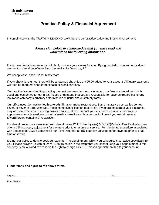## **Practice Policy & Financial Agreement**

In compliance with the TRUTH IN LENDING LAW, here is our practice policy and financial agreement.

#### *Please sign below to acknowledge that you have read and understand the following information.*

If you have dental insurance we will gladly process your claims for you. By signing below you authorize direct payment of dental benefits to Brookhaven Family Dentistry, PC.

We accept cash, check, Visa, Mastercard.

If your check is returned, there will be a returned check fee of \$25.00 added to your account. All future payments will then be required in the form of cash or credit card only.

Our practice is committed to providing the best treatment for our patients and our fees are based on what is usual and customary for our area. Please understand that you are responsible for payment regardless of any insurance company's arbitrary determination of usual and customary rates.

Our office uses Composite (tooth colored) fillings on many restorations. Some insurance companies do not cover, or cover at a reduced rate, these composite fillings on back teeth. If you are concerned your insurance may not cover the services being provided to you, please contact your insurance company prior to your appointment for a breakdown of their allowable benefits and let your doctor know if you would prefer a Silver(Mercury containing) restoration.

For dental procedures associated with dental codes D1110(Prophylaxis) & D0120(Periodic Oral Evaluation) we offer a 16% courtesy adjustment for payment prior to or at time of service. For the dental procedure associated with dental code D0274(Bitewings-Four Films) we offer a 48% courtesy adjustment for payment prior to or at time of service.

It is not our policy to double book our patients. The appointment, which you schedule, is set aside specifically for you. Please provide us with at least 24 hours notice in the event that you cannot keep your appointment. If this courtesy is not allowed, we reserve the right to charge a \$25.00 missed appointment fee to your account.

#### **I understand and agree to the above terms.**

| Signed:     | Date: |
|-------------|-------|
| Print Name: |       |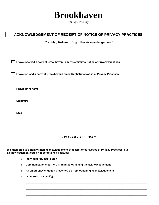

*Family Dentistry*

### **ACKNOWLEDGEMENT OF RECEIPT OF NOTICE OF PRIVACY PRACTICES**

\*You May Refuse to Sign This Acknowledgement\*

**I have received a copy of Brookhaven Family Dentistry's Notice of Privacy Practices.**

**I have refused a copy of Brookhaven Family Dentistry's Notice of Privacy Practices**

**\_\_\_\_\_\_\_\_\_\_\_\_\_\_\_\_\_\_\_\_\_\_\_\_\_\_\_\_\_\_\_\_\_\_\_\_\_\_\_\_\_\_\_\_\_\_\_\_\_\_\_\_\_\_\_\_\_\_\_\_\_\_\_\_\_\_\_\_\_\_\_\_\_\_\_\_\_\_\_\_\_\_\_\_\_\_\_\_\_\_ Please print name**

**Signature**

**\_\_\_\_\_\_\_\_\_\_\_\_\_\_\_\_\_\_\_\_\_\_\_\_\_\_\_\_\_\_\_\_\_\_\_\_\_\_\_\_\_\_\_\_\_\_\_\_\_\_\_\_\_\_\_\_\_\_\_\_\_\_\_\_\_\_\_\_\_\_\_\_\_\_\_\_\_\_\_\_\_\_\_\_\_\_\_\_\_\_ Date**

*FOR OFFICE USE ONLY*

**\_\_\_\_\_\_\_\_\_\_\_\_\_\_\_\_\_\_\_\_\_\_\_\_\_\_\_\_\_\_\_\_\_\_\_\_\_\_\_\_\_\_\_\_\_\_\_\_\_\_\_\_\_\_\_\_\_\_\_\_\_\_\_\_\_\_\_\_\_\_\_\_\_\_\_\_\_\_\_\_\_\_\_\_**

**\_\_\_\_\_\_\_\_\_\_\_\_\_\_\_\_\_\_\_\_\_\_\_\_\_\_\_\_\_\_\_\_\_\_\_\_\_\_\_\_\_\_\_\_\_\_\_\_\_\_\_\_\_\_\_\_\_\_\_\_\_\_\_\_\_\_\_\_\_\_\_\_\_\_\_\_\_\_\_\_\_\_\_\_**

**\_\_\_\_\_\_\_\_\_\_\_\_\_\_\_\_\_\_\_\_\_\_\_\_\_\_\_\_\_\_\_\_\_\_\_\_\_\_\_\_\_\_\_\_\_\_\_\_\_\_\_\_\_\_\_\_\_\_\_\_\_\_\_\_\_\_\_\_\_\_\_\_\_\_\_\_\_\_\_\_\_\_\_\_**

**\_\_\_\_\_\_\_\_\_\_\_\_\_\_\_\_\_\_\_\_\_\_\_\_\_\_\_\_\_\_\_\_\_\_\_\_\_\_\_\_\_\_\_\_\_\_\_\_\_\_\_\_\_\_\_\_\_\_\_\_\_\_\_\_\_\_\_\_\_\_\_\_\_\_\_\_\_\_\_\_\_\_\_\_\_\_\_\_\_\_**

**We attempted to obtain written acknowledgement of receipt of our Notice of Privacy Practices, but acknowledgement could not be obtained because:**

- o **Individual refused to sign**
- o **Communications barriers prohibited obtaining the acknowledgement**
- o **An emergency situation prevented us from obtaining acknowledgement**
- o **Other (Please specify):**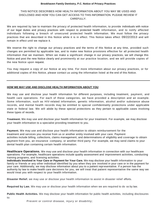#### **Brookhaven Family Dentistry, P.C. Notice of Privacy Practices**

#### THIS NOTICE DESCRIBES HOW HEALTH INFORMATION ABOUT YOU MAY BE USED AND DISCLOSED AND HOW YOU CAN GET ACCESS TO THIS INFORMATION. PLEASE REVIEW IT CAREFULLY.

We are required by law to maintain the privacy of protected health information, to provide individuals with notice of our legal duties and privacy practices with respect to protected health information, and to notify affected individuals following a breach of unsecured protected health information. We must follow the privacy practices that are described in this Notice while it is in effect. This Notice takes effect 09/22/2013 and will remain in effect until we replace it.

We reserve the right to change our privacy practices and the terms of this Notice at any time, provided such changes are permitted by applicable law, and to make new Notice provisions effective for all protected health information that we maintain. When we make a significant change in our privacy practices, we will change this Notice and post the new Notice clearly and prominently at our practice location, and we will provide copies of the new Notice upon request.

You may request a copy of our Notice at any time. For more information about our privacy practices, or for additional copies of this Notice, please contact us using the information listed at the end of this Notice.

#### **HOW WE MAY USE AND DISCLOSE HEALTH INFORMATION ABOUT YOU**

We may use and disclose your health information for different purposes, including treatment, payment, and health care operations. For each of these categories, we have provided a description and an example. Some information, such as HIV-related information, genetic information, alcohol and/or substance abuse records, and mental health records may be entitled to special confidentiality protections under applicable state or federal law. We will abide by these special protections as they pertain to applicable cases involving these types of records.

**Treatment.** We may use and disclose your health information for your treatment. For example, we may disclose your health information to a specialist providing treatment to you.

**Payment.** We may use and disclose your health information to obtain reimbursement for the treatment and services you receive from us or another entity involved with your care. Payment activities include billing, collections, claims management, and determinations of eligibility and coverage to obtain payment from you, an insurance -company, or another third party. For example, we may send claims to your dental health plan containing certain health information.

**Healthcare Operations.** We may use and disclose your health information in connection with our healthcare operations. For example, healthcare operations include quality assessment and improvement activities, conducting training programs, and licensing activities.

**Individuals Involved in Your Care or Payment for Your Care.** We may disclose your health information to your family or friends or any other individual identified by you when they are involved in your care or in the payment for your care. Additionally, we may disclose information about you to a patient repr esentative. If a person has the authority by law to make health care decisions for you, we will treat that patient representative the same way we would treat you with respect to your health information.

**Disaster Relief.** we may use or disclose your health information to assist in disaster relief efforts.

**Required by Law.** We may use or disclose your health information when we are required to do so by law.

**Public Health Activities.** We may disclose your health information for public health activities, including disclosures to:

Prevent or control disease, injury or disability;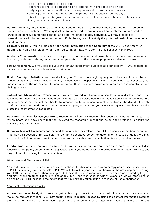Report child abuse or neglect; Report reactions to medications or problems with products or devices; Notify a person of a recall, repair, or replacement of products or devices; Notify a person who may have been exposed to a disease or condition; or Notify the appropriate government authority if we believe a patient has been the victim of abuse, neglect, or domestic violence.

**National Security.** We may disclose to military authorities the health information of Armed Forces personnel under certain circumstances. We may disclose to authorized federal officials health information required for lawful intelligence, counterintelligence, and other national security activities. We may disclose to correctional institution or law enforcement official having lawful custody the protected health information of an inmate or patient.

**Secretary of HHS.** We will disclose your health information to the Secretary of the U.S. Department of Health and Human Services when required to investigate or determine compliance with HIPAA.

**Worker's Compensation.** We may disclose your **PHI** to the extent authorized by and to the extent necessary to comply with laws relating to worker's compensation or other similar programs established by law.

**Law Enforcement.** We may disclose your PHI for law enforcement purposes as permitted by HIPAA, as required by law, or in response to a subpoena or court order.

**Health Oversight Activities.** We may disclose your PHI to an oversight agency for activities authorized by law. These oversight activities include audits, investigations, inspections, and credentialing, as necessary for licensure and for the government to monitor the health care system, government programs, and compliance with civil rights laws.

**Judicial and Administrative Proceedings.** If you are involved in a lawsuit or a dispute, we may disclose your PHI in response to a court or administrative order. We may also disclose health information about you in response to a subpoena, discovery request, or other lawful process instituted by someone else involved in the dispute, but only if efforts have been made, either by the requesting party or us, to tell you about the request or to obtain an order protecting the information requested.

**Research.** We may disclose your PHI to researchers when their research has been approved by an institutional review board or privacy board that has reviewed the research proposal and established protocols to ensure the privacy of your information.

**Coroners, Medical Examiners, and Funeral Directors.** We may release your PHI to a coroner or medical examiner. This may be necessary, for example, to identify a deceased person or determine the cause of death. We may also disclose PHI to funeral directors consistent with applicable law to enable them to carry out their duties.

**Fundraising.** We may contact you to provide you with information about our sponsored activities, including fundraising programs, as permitted by applicable law. If you do not wish to receive such information from us, you may opt out of receiving the communications.

#### **Other Uses and Disclosures of PHI**

Your authorization is required, with a few exceptions, for disclosure of psychotherapy notes, use or disclosure of PHI for marketing, and for the sale of PHI. We will also obtain your written authorization before using or disclosing your PHI for purposes other than those provided for in this Notice (or as otherwise permitted or required by law). You may revoke an authorization in writing at any time. Upon receipt of the written revocation, we will stop using or disclosing your PHI, except to the extent that we have already taken action in reliance on the authorization.

#### **Your Health Information Rights**

**Access.** You have the right to look at or get copies of your health information, with limited exceptions. You must make the request in writing. You may obtain a form to request access by using the contact information listed at the end of this Notice. You may also request access by sending us a letter to the address at the end of this